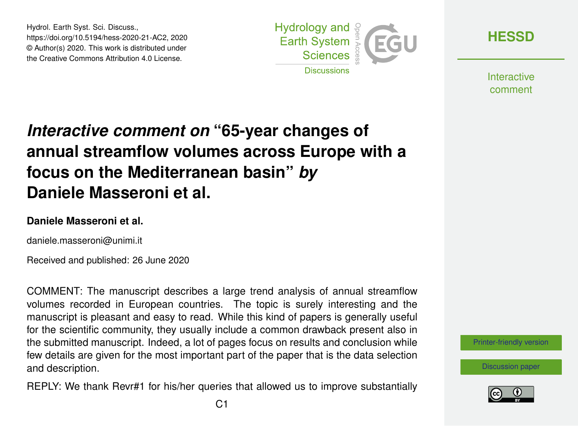Hydrol. Earth Syst. Sci. Discuss., https://doi.org/10.5194/hess-2020-21-AC2, 2020 © Author(s) 2020. This work is distributed under the Creative Commons Attribution 4.0 License.



**[HESSD](https://www.hydrol-earth-syst-sci-discuss.net/)**

**Interactive** comment

# *Interactive comment on* **"65-year changes of annual streamflow volumes across Europe with a focus on the Mediterranean basin"** *by* **Daniele Masseroni et al.**

### **Daniele Masseroni et al.**

daniele.masseroni@unimi.it

Received and published: 26 June 2020

COMMENT: The manuscript describes a large trend analysis of annual streamflow volumes recorded in European countries. The topic is surely interesting and the manuscript is pleasant and easy to read. While this kind of papers is generally useful for the scientific community, they usually include a common drawback present also in the submitted manuscript. Indeed, a lot of pages focus on results and conclusion while few details are given for the most important part of the paper that is the data selection and description.

REPLY: We thank Revr#1 for his/her queries that allowed us to improve substantially

[Printer-friendly version](https://www.hydrol-earth-syst-sci-discuss.net/hess-2020-21/hess-2020-21-AC2-print.pdf)

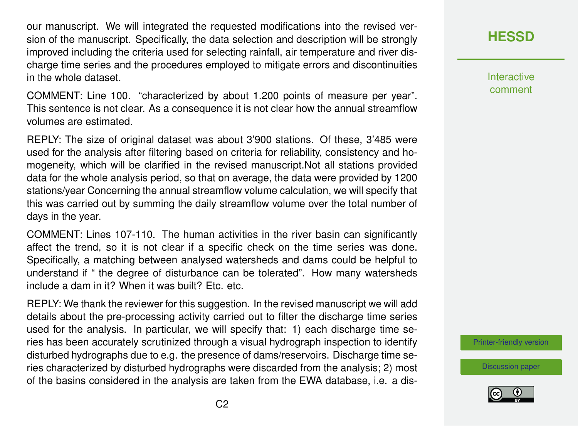our manuscript. We will integrated the requested modifications into the revised version of the manuscript. Specifically, the data selection and description will be strongly improved including the criteria used for selecting rainfall, air temperature and river discharge time series and the procedures employed to mitigate errors and discontinuities in the whole dataset.

COMMENT: Line 100. "characterized by about 1.200 points of measure per year". This sentence is not clear. As a consequence it is not clear how the annual streamflow volumes are estimated.

REPLY: The size of original dataset was about 3'900 stations. Of these, 3'485 were used for the analysis after filtering based on criteria for reliability, consistency and homogeneity, which will be clarified in the revised manuscript.Not all stations provided data for the whole analysis period, so that on average, the data were provided by 1200 stations/year Concerning the annual streamflow volume calculation, we will specify that this was carried out by summing the daily streamflow volume over the total number of days in the year.

COMMENT: Lines 107-110. The human activities in the river basin can significantly affect the trend, so it is not clear if a specific check on the time series was done. Specifically, a matching between analysed watersheds and dams could be helpful to understand if " the degree of disturbance can be tolerated". How many watersheds include a dam in it? When it was built? Ftc. etc.

REPLY: We thank the reviewer for this suggestion. In the revised manuscript we will add details about the pre-processing activity carried out to filter the discharge time series used for the analysis. In particular, we will specify that: 1) each discharge time series has been accurately scrutinized through a visual hydrograph inspection to identify disturbed hydrographs due to e.g. the presence of dams/reservoirs. Discharge time series characterized by disturbed hydrographs were discarded from the analysis; 2) most of the basins considered in the analysis are taken from the EWA database, i.e. a dis-

# **[HESSD](https://www.hydrol-earth-syst-sci-discuss.net/)**

**Interactive** comment

[Printer-friendly version](https://www.hydrol-earth-syst-sci-discuss.net/hess-2020-21/hess-2020-21-AC2-print.pdf)

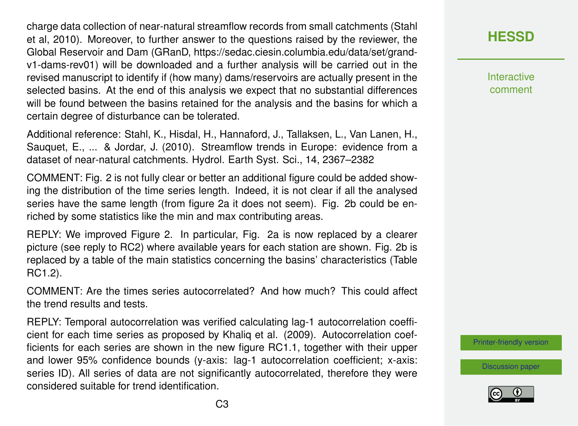charge data collection of near-natural streamflow records from small catchments (Stahl et al, 2010). Moreover, to further answer to the questions raised by the reviewer, the Global Reservoir and Dam (GRanD, https://sedac.ciesin.columbia.edu/data/set/grandv1-dams-rev01) will be downloaded and a further analysis will be carried out in the revised manuscript to identify if (how many) dams/reservoirs are actually present in the selected basins. At the end of this analysis we expect that no substantial differences will be found between the basins retained for the analysis and the basins for which a certain degree of disturbance can be tolerated.

Additional reference: Stahl, K., Hisdal, H., Hannaford, J., Tallaksen, L., Van Lanen, H., Sauquet, E., ... & Jordar, J. (2010). Streamflow trends in Europe: evidence from a dataset of near-natural catchments. Hydrol. Earth Syst. Sci., 14, 2367–2382

COMMENT: Fig. 2 is not fully clear or better an additional figure could be added showing the distribution of the time series length. Indeed, it is not clear if all the analysed series have the same length (from figure 2a it does not seem). Fig. 2b could be enriched by some statistics like the min and max contributing areas.

REPLY: We improved Figure 2. In particular, Fig. 2a is now replaced by a clearer picture (see reply to RC2) where available years for each station are shown. Fig. 2b is replaced by a table of the main statistics concerning the basins' characteristics (Table RC1.2).

COMMENT: Are the times series autocorrelated? And how much? This could affect the trend results and tests.

REPLY: Temporal autocorrelation was verified calculating lag-1 autocorrelation coefficient for each time series as proposed by Khaliq et al. (2009). Autocorrelation coefficients for each series are shown in the new figure RC1.1, together with their upper and lower 95% confidence bounds (y-axis: lag-1 autocorrelation coefficient; x-axis: series ID). All series of data are not significantly autocorrelated, therefore they were considered suitable for trend identification.

**[HESSD](https://www.hydrol-earth-syst-sci-discuss.net/)**

**Interactive** comment

[Printer-friendly version](https://www.hydrol-earth-syst-sci-discuss.net/hess-2020-21/hess-2020-21-AC2-print.pdf)

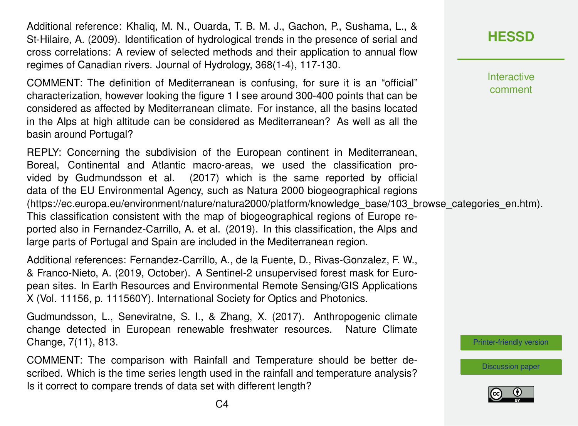Additional reference: Khaliq, M. N., Ouarda, T. B. M. J., Gachon, P., Sushama, L., & St-Hilaire, A. (2009). Identification of hydrological trends in the presence of serial and cross correlations: A review of selected methods and their application to annual flow regimes of Canadian rivers. Journal of Hydrology, 368(1-4), 117-130.

COMMENT: The definition of Mediterranean is confusing, for sure it is an "official" characterization, however looking the figure 1 I see around 300-400 points that can be considered as affected by Mediterranean climate. For instance, all the basins located in the Alps at high altitude can be considered as Mediterranean? As well as all the basin around Portugal?

REPLY: Concerning the subdivision of the European continent in Mediterranean, Boreal, Continental and Atlantic macro-areas, we used the classification provided by Gudmundsson et al. (2017) which is the same reported by official data of the EU Environmental Agency, such as Natura 2000 biogeographical regions (https://ec.europa.eu/environment/nature/natura2000/platform/knowledge\_base/103\_browse\_categories\_en.htm). This classification consistent with the map of biogeographical regions of Europe reported also in Fernandez-Carrillo, A. et al. (2019). In this classification, the Alps and large parts of Portugal and Spain are included in the Mediterranean region.

Additional references: Fernandez-Carrillo, A., de la Fuente, D., Rivas-Gonzalez, F. W., & Franco-Nieto, A. (2019, October). A Sentinel-2 unsupervised forest mask for European sites. In Earth Resources and Environmental Remote Sensing/GIS Applications X (Vol. 11156, p. 111560Y). International Society for Optics and Photonics.

Gudmundsson, L., Seneviratne, S. I., & Zhang, X. (2017). Anthropogenic climate change detected in European renewable freshwater resources. Nature Climate Change, 7(11), 813.

COMMENT: The comparison with Rainfall and Temperature should be better described. Which is the time series length used in the rainfall and temperature analysis? Is it correct to compare trends of data set with different length?

**Interactive** comment

[Printer-friendly version](https://www.hydrol-earth-syst-sci-discuss.net/hess-2020-21/hess-2020-21-AC2-print.pdf)

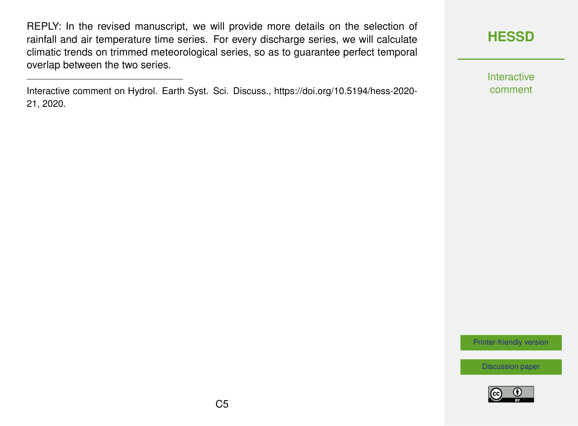REPLY: In the revised manuscript, we will provide more details on the selection of rainfall and air temperature time series. For every discharge series, we will calculate climatic trends on trimmed meteorological series, so as to guarantee perfect temporal overlap between the two series.

Interactive comment on Hydrol. Earth Syst. Sci. Discuss., https://doi.org/10.5194/hess-2020- 21, 2020.

## **[HESSD](https://www.hydrol-earth-syst-sci-discuss.net/)**

Interactive comment

[Printer-friendly version](https://www.hydrol-earth-syst-sci-discuss.net/hess-2020-21/hess-2020-21-AC2-print.pdf)

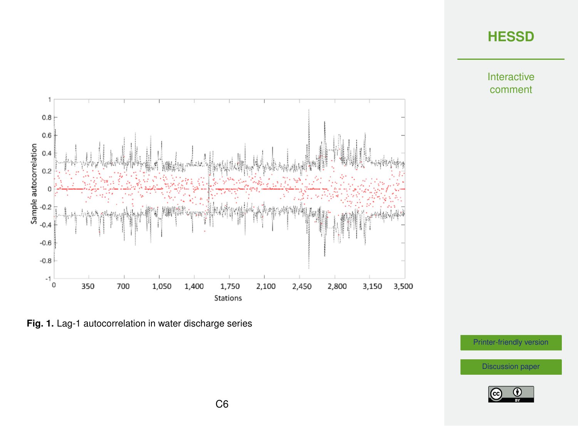Interactive comment



**Fig. 1.** Lag-1 autocorrelation in water discharge series

[Printer-friendly version](https://www.hydrol-earth-syst-sci-discuss.net/hess-2020-21/hess-2020-21-AC2-print.pdf)